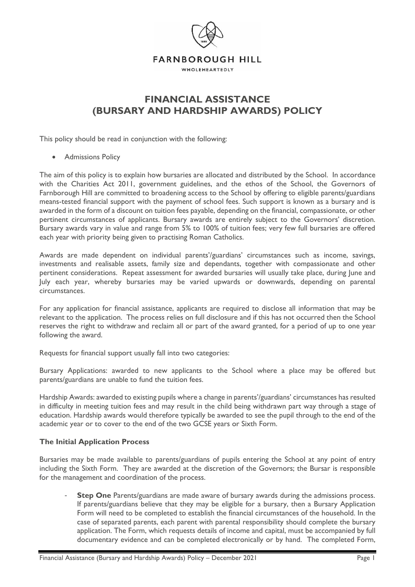

## **FINANCIAL ASSISTANCE (BURSARY AND HARDSHIP AWARDS) POLICY**

This policy should be read in conjunction with the following:

• Admissions Policy

The aim of this policy is to explain how bursaries are allocated and distributed by the School. In accordance with the Charities Act 2011, government guidelines, and the ethos of the School, the Governors of Farnborough Hill are committed to broadening access to the School by offering to eligible parents/guardians means-tested financial support with the payment of school fees. Such support is known as a bursary and is awarded in the form of a discount on tuition fees payable, depending on the financial, compassionate, or other pertinent circumstances of applicants. Bursary awards are entirely subject to the Governors' discretion. Bursary awards vary in value and range from 5% to 100% of tuition fees; very few full bursaries are offered each year with priority being given to practising Roman Catholics.

Awards are made dependent on individual parents'/guardians' circumstances such as income, savings, investments and realisable assets, family size and dependants, together with compassionate and other pertinent considerations. Repeat assessment for awarded bursaries will usually take place, during June and July each year, whereby bursaries may be varied upwards or downwards, depending on parental circumstances.

For any application for financial assistance, applicants are required to disclose all information that may be relevant to the application. The process relies on full disclosure and if this has not occurred then the School reserves the right to withdraw and reclaim all or part of the award granted, for a period of up to one year following the award.

Requests for financial support usually fall into two categories:

Bursary Applications: awarded to new applicants to the School where a place may be offered but parents/guardians are unable to fund the tuition fees.

Hardship Awards: awarded to existing pupils where a change in parents'/guardians' circumstances has resulted in difficulty in meeting tuition fees and may result in the child being withdrawn part way through a stage of education. Hardship awards would therefore typically be awarded to see the pupil through to the end of the academic year or to cover to the end of the two GCSE years or Sixth Form.

## **The Initial Application Process**

Bursaries may be made available to parents/guardians of pupils entering the School at any point of entry including the Sixth Form. They are awarded at the discretion of the Governors; the Bursar is responsible for the management and coordination of the process.

**Step One** Parents/guardians are made aware of bursary awards during the admissions process. If parents/guardians believe that they may be eligible for a bursary, then a Bursary Application Form will need to be completed to establish the financial circumstances of the household. In the case of separated parents, each parent with parental responsibility should complete the bursary application. The Form, which requests details of income and capital, must be accompanied by full documentary evidence and can be completed electronically or by hand. The completed Form,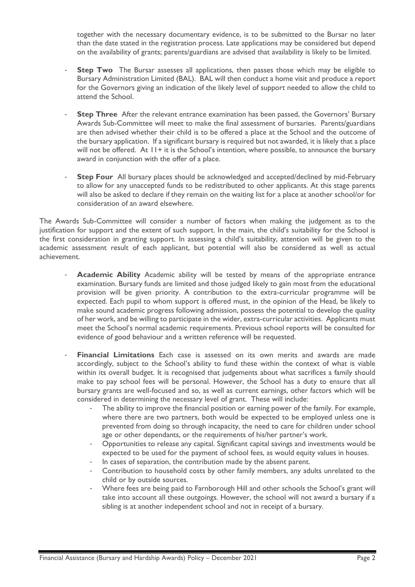together with the necessary documentary evidence, is to be submitted to the Bursar no later than the date stated in the registration process. Late applications may be considered but depend on the availability of grants; parents/guardians are advised that availability is likely to be limited.

- **Step Two** The Bursar assesses all applications, then passes those which may be eligible to Bursary Administration Limited (BAL). BAL will then conduct a home visit and produce a report for the Governors giving an indication of the likely level of support needed to allow the child to attend the School.
- **Step Three** After the relevant entrance examination has been passed, the Governors' Bursary Awards Sub-Committee will meet to make the final assessment of bursaries. Parents/guardians are then advised whether their child is to be offered a place at the School and the outcome of the bursary application. If a significant bursary is required but not awarded, it is likely that a place will not be offered. At  $11+$  it is the School's intention, where possible, to announce the bursary award in conjunction with the offer of a place.
- **Step Four** All bursary places should be acknowledged and accepted/declined by mid-February to allow for any unaccepted funds to be redistributed to other applicants. At this stage parents will also be asked to declare if they remain on the waiting list for a place at another school/or for consideration of an award elsewhere.

The Awards Sub-Committee will consider a number of factors when making the judgement as to the justification for support and the extent of such support. In the main, the child's suitability for the School is the first consideration in granting support. In assessing a child's suitability, attention will be given to the academic assessment result of each applicant, but potential will also be considered as well as actual achievement.

- **Academic Ability** Academic ability will be tested by means of the appropriate entrance examination. Bursary funds are limited and those judged likely to gain most from the educational provision will be given priority. A contribution to the extra-curricular programme will be expected. Each pupil to whom support is offered must, in the opinion of the Head, be likely to make sound academic progress following admission, possess the potential to develop the quality of her work, and be willing to participate in the wider, extra-curricular activities. Applicants must meet the School's normal academic requirements. Previous school reports will be consulted for evidence of good behaviour and a written reference will be requested.
- **Financial Limitations** Each case is assessed on its own merits and awards are made accordingly, subject to the School's ability to fund these within the context of what is viable within its overall budget. It is recognised that judgements about what sacrifices a family should make to pay school fees will be personal. However, the School has a duty to ensure that all bursary grants are well-focused and so, as well as current earnings, other factors which will be considered in determining the necessary level of grant. These will include:
	- The ability to improve the financial position or earning power of the family. For example, where there are two partners, both would be expected to be employed unless one is prevented from doing so through incapacity, the need to care for children under school age or other dependants, or the requirements of his/her partner's work.
	- Opportunities to release any capital. Significant capital savings and investments would be expected to be used for the payment of school fees, as would equity values in houses.
	- In cases of separation, the contribution made by the absent parent.
	- Contribution to household costs by other family members, any adults unrelated to the child or by outside sources.
	- Where fees are being paid to Farnborough Hill and other schools the School's grant will take into account all these outgoings. However, the school will not award a bursary if a sibling is at another independent school and not in receipt of a bursary.